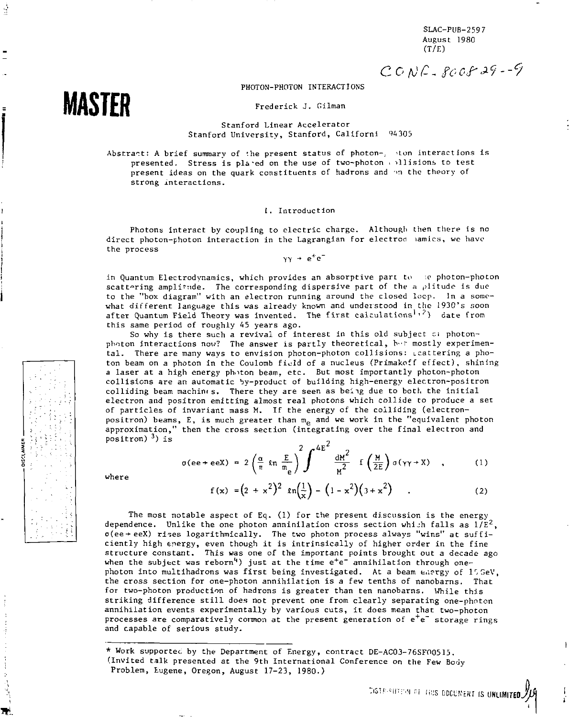SLAC-PUB-2597 August 1980  $(T/E)$ 

 $C$  *CONC*-8008 29-9

# PHOTON-PHOTON INTERACTIONS

Frederick J. Gilman

Stanford Linear Accelerator Stanford University, Stanford, Californi 94305

Abstract: A brief summary of *'.he* present status of photon-, \*Lon interactions is presented. Stress is placed on the use of two-photon inlisions to test present ideas on the quark constituents of hadrons and an the theory of strong interactions.

#### I. Introduction

Photons interact by coupling to electric charge. Although then there is no direct photon-photon interaction in the Lagrangian for electrod lamics, we have the process

 $yy + e^+e^-$ 

in Quantum Electrodynamics, which provides an absorptive part to *w* photon-photon scattering amplitude. The corresponding dispersive part of the a plitude is due to the "box diagram" with an electron running around the closed loop. In a somewhat different language this was already known and understood in the 1930's soon after Quantum Field Theory was invented. The first calculations<sup>1,2</sup>) date from this same period of roughly 45 years ago.

So why is there such a revival of interest in this old subject ci photonphnton interactions now? The answer is partly theoretical, h-r mostly experimental. There are many ways to envision photon-photon collisions: Lcattering a photon beam on a photon in the Coulomb field of a nucleus (Primakoff effect), shining a laser at a high energy photon beam, etc. But most importantly photon-photon collisions are an automatic by-product of building high-energy electron-positron colliding beam machines. There they are seen as being due to both the initial electron and positron emitting almost real photons which collide to produce a set of particles of invariant mass M. If the energy of the colliding (electronpositron) beams, E, is much greater than  $m_{\rho}$  and we work in the "equivalent photon approximation," then the cross section (integrating over the final electron and positron) <sup>3</sup>) is

$$
\sigma(ee + eeX) = 2\left(\frac{\alpha}{\pi} \ln \frac{E}{m_e}\right)^2 \int^{4E^2} \frac{dM^2}{M^2} f\left(\frac{M}{2E}\right) \sigma(\gamma \gamma + X) , \qquad (1)
$$

Where

**MASTER** 

É

$$
f(x) = (2 + x2)2 ln(\frac{1}{x}) - (1 - x2)(3 + x2)
$$
 (2)

The most notable aspect of Eq. (1) for the present discussion is the energy dependence. Unlike the one photon anninilation cross section which falls as  $1/\bar{E}^2$ ,  $o(ee+eeX)$  rises logarithmically. The two photon process always "wins" at sufficiently high energy, even though it is intrinsically of higher order in the fine structure constant. This was one of the important points brought out a decade ago when the subject was reborn<sup>4</sup>) just at the time  $e^+e^-$  annihilation through onephoton into multihadrons was first being investigated. At a beam energy of 15GeV, the cross section for one-photon annihilation is a few tenths of nanobarns. That for two-photon production of hadrons is greater than ten nanobarns. While this striking difference still does not prevent one from clearly separating one-photon annihilation events experimentally by various cuts, it does mean that two-photon processes are comparatively common at the present generation of e<sup>+</sup>e<sup>-</sup> storage rings and capable of serious study.

\* Work supportec by the Department of Energy, contract DE-AC03-76SFO0515. (Invited talk presented at the 9th International Conference on the Few Body Problem, Eugene, Oregon, August 17-23, 1980.)

:<\$!f-(r !i!!S DOCUMENT IS **UNLIMITED** 

*\*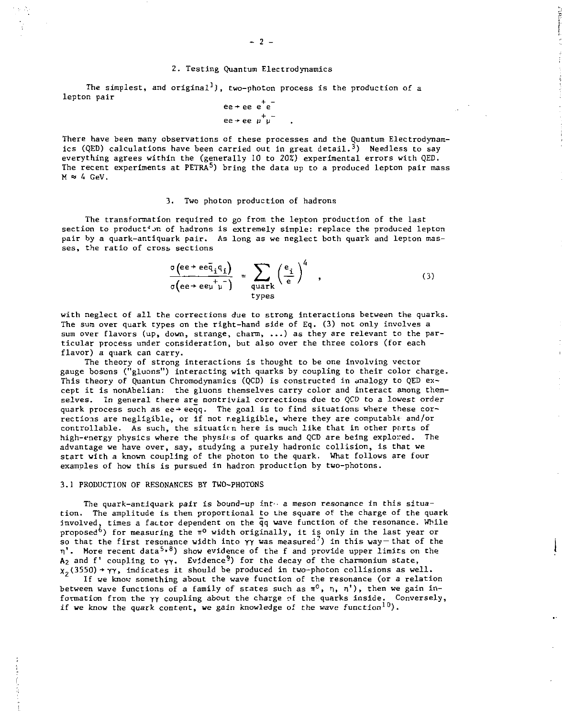#### *2.* Testing Quantum Electrodynamics

The simplest, and original<sup>1</sup>), two-photon process is the production of a lepton pair

$$
ee + ee e^-e^-
$$

$$
ee + ee \mu^+ \mu^-
$$

There have been many observations of these processes and the Quantum Electrodynamics (QED) calculations have been carried out in great detail.<sup>3</sup>) Needless to say everything agrees within the (generally 10 to 20%) experimental errors with QED. The recent experiments at  $PETRA<sup>5</sup>$  bring the data up to a produced lepton pair mass  $M \approx 4$  GeV.

### 3. Two photon production of hadrons

The transformation required to go from the lepton production of the last section to product'on of hadrons is extremely simple: replace the produced lepton pair by a quark-antiquark pair. As long as we neglect both quark and lepton masses, the ratio of cross sections

$$
\frac{\sigma(e^2 + e e \bar{q}_i q_i)}{\sigma(e^2 + e e \mu \mu)} = \sum_{\substack{\text{quark} \\ \text{types}}} \left(\frac{e_i}{e}\right)^4 , \qquad (3)
$$

with neglect of all the corrections due to strong interactions between the quarks. The sum over quark types on the right-hand side of Eq. (3) not only involves a sum over flavors (up, down, strange, charm, ...) as they are relevant to the particular process under consideration, but also over the three colors (for each flavor) a quark can carry.

The theory of strong interactions is thought to be one involving vector gauge bosons ("gluons") interacting with quarks by coupling to their color charge. This theory of Quantum Chromodynamics (QCD) is constructed in analogy to QED except it is nonAbelian: the gluons themselves carry color and interact among themselves. In general there are nontrivial corrections due to QCD to a lowest order quark process such as ee + eeqq. The goal is to find situations where these corrections are negligible, or if not negligible, where they are computable and/or controllable. As such, the situation here is much like that in other parts of high-energy physics where the physir.s of quarks and *QCD* are being explored. The advantage we have over, say, studying a purely hadronic collision, is that we start with a known coupling of the photon to the quark. What follows are four examples of how this is pursued in hadron production by two-photons.

### 3.1 PRODUCTION OF RESONANCES BY TWO-PHOTONS

The quark-antiquark pair is bound-up inth a meson resonance in this situation. The amplitude is then proportional to the square of the charge of the quark involved, times a factor dependent on the qq wave function of the resonance. While proposed<sup>6</sup>) for measuring the  $\pi^0$  width originally, it is only in the last year or so that the first resonance width into  $\gamma\gamma$  was measured<sup>7</sup>) in this way-that of the  $\eta$ . More recent data<sup>5,8</sup>) show evidence of the f and provide upper limits on the  $A_2$  and f' coupling to  $\gamma\gamma$ . Evidence<sup>9</sup>) for the decay of the charmonium state,  $X_2$ (3550) +  $YY$ , indicates it should be produced in two-photon collisions as well.

 $\mathbf{l}$ 

If we knov something about the wave function of the resonance (or a relation between wave functions of a family of states such as  $\pi^0$ ,  $n$ ,  $n'$ ), then we gain information from the γγ coupling about the charge of the quarks inside. Conversely,<br>if we know the quark content, we gain knowledge of the wave function<sup>10</sup>).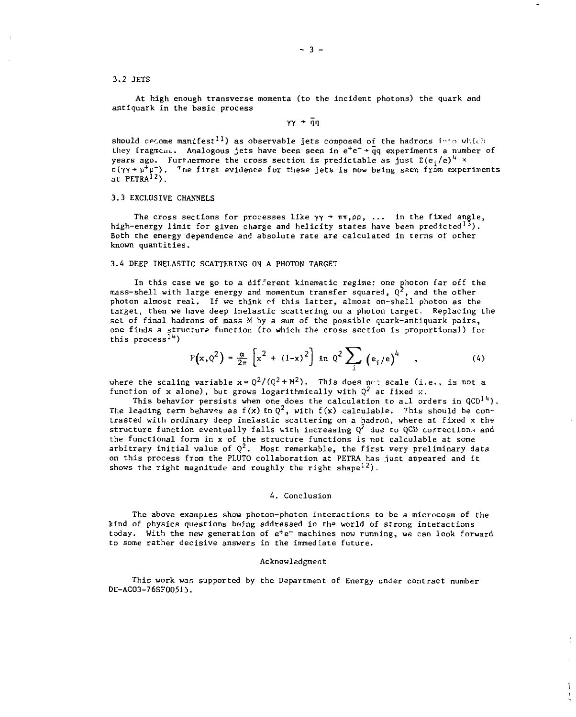3.2 JETS

At high enough transverse momenta (to the incident photons) the quark and antiquark in the basic process

**YY - qq** 

should necome manifest<sup>11</sup>) as observable jets composed of the hadrons into which they fragment. Analogous jets have been seen in  $e^+e^- + \bar{q}q$  experiments a number of years ago. Furthermore the cross section is predictable as just  $\Sigma(e; /e)^+ \times$  $\sigma(\gamma\gamma\rightarrow\mu^+\mu^-)$ . The first evidence for these jets is now being seen from experiments at  $PETRA<sup>12</sup>$ ).

## 3.3 EXCLUSIVE CHANNELS

The cross sections for processes like  $\gamma y \rightarrow \pi \pi$ ,  $\rho \rho$ , ... in the fixed angle, high-energy limit for given charge and helicity states have been predicted<sup>13</sup>). Both the energy dependence and absolute rate are calculated in terms of other known quantities.

### 3.4 DEEP INELASTIC SCATTERING ON A PHOTON TARGET

In this case we go to a different kinematic regime: one photon far off the mass-shell with large energy and momentum transfer squared,  $Q^2$ , and the other photon almost real. If we think of this latter, almost on-shell photon as the target, then we have deep inelastic scattering on a photon target. Replacing the set of final hadrons of mass M by a sum of the possible quark-antiquark pairs, one finds a structure function (to which the cross section is proportional) for this process<sup>14</sup>)

$$
F(x, \varrho^{2}) = \frac{\alpha}{2\pi} \left[ x^{2} + (1-x)^{2} \right] \text{sn } \varrho^{2} \sum_{i} \left( e_{i}/e \right)^{4} , \qquad (4)
$$

where the scaling variable  $x = Q^2/(Q^2 + M^2)$ . This does not scale (i.e., is not a function of x alone), but grows logarithmically with  $Q^2$  at fixed x.

This behavior persists when one does the calculation to all orders in  $QCD^{14}$ . The leading term behaves as  $f(x)$  in  $Q^2$ , with  $f(x)$  calculable. This should be contrasted with ordinary deep inelastic scattering on a hadron, where at fixed *x* the structure function eventually falls with increasing  $Q^2$  due to QCD corrections and the functional form in x of the structure functions is not calculable at some arbitrary initial value of  $Q^2$ . Most remarkable, the first very preliminary data on this process from the PLUTO collaboration at PETRA has just appeared and it shows the right magnitude and roughly the right shape<sup>12</sup>).

### 4. Conclusion

The above examples show photon-photon interactions to be a microcosm of the kind of physics questions being addressed in the world of strong interactions today. With the new generation of e<sup>+</sup>e<sup>-</sup> machines now running, we can look forward to some rather decisive answers in the immediate future.

### Acknowledgment

This work was supported by the Department of Energy under contract number DE-AC03-76SF00513.

t